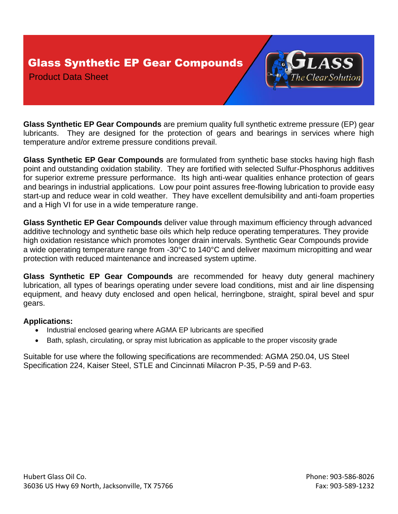Glass Synthetic EP Gear Compounds

Product Data Sheet



**Glass Synthetic EP Gear Compounds** are premium quality full synthetic extreme pressure (EP) gear lubricants. They are designed for the protection of gears and bearings in services where high temperature and/or extreme pressure conditions prevail.

**Glass Synthetic EP Gear Compounds** are formulated from synthetic base stocks having high flash point and outstanding oxidation stability. They are fortified with selected Sulfur-Phosphorus additives for superior extreme pressure performance. Its high anti-wear qualities enhance protection of gears and bearings in industrial applications. Low pour point assures free-flowing lubrication to provide easy start-up and reduce wear in cold weather. They have excellent demulsibility and anti-foam properties and a High VI for use in a wide temperature range.

**Glass Synthetic EP Gear Compounds** deliver value through maximum efficiency through advanced additive technology and synthetic base oils which help reduce operating temperatures. They provide high oxidation resistance which promotes longer drain intervals. Synthetic Gear Compounds provide a wide operating temperature range from -30°C to 140°C and deliver maximum micropitting and wear protection with reduced maintenance and increased system uptime.

**Glass Synthetic EP Gear Compounds** are recommended for heavy duty general machinery lubrication, all types of bearings operating under severe load conditions, mist and air line dispensing equipment, and heavy duty enclosed and open helical, herringbone, straight, spiral bevel and spur gears.

## **Applications:**

- Industrial enclosed gearing where AGMA EP lubricants are specified
- Bath, splash, circulating, or spray mist lubrication as applicable to the proper viscosity grade

Suitable for use where the following specifications are recommended: AGMA 250.04, US Steel Specification 224, Kaiser Steel, STLE and Cincinnati Milacron P-35, P-59 and P-63.